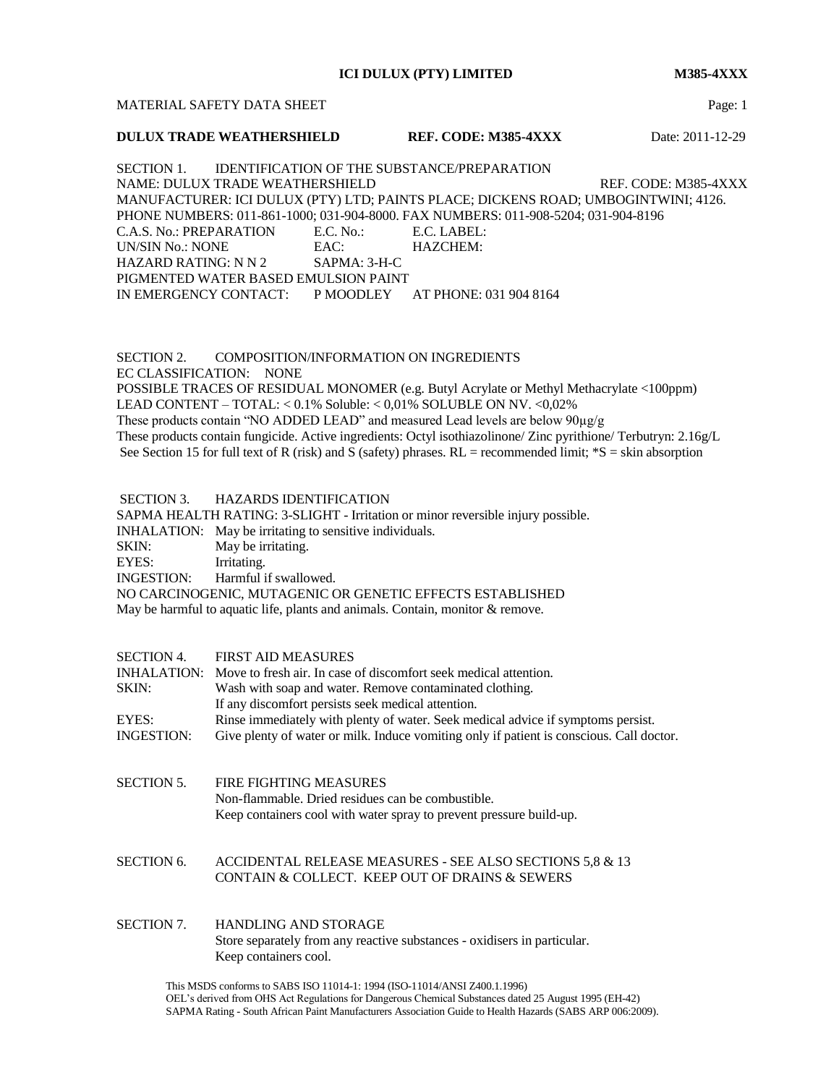**ICI DULUX (PTY) LIMITED M385-4XXX**

### MATERIAL SAFETY DATA SHEET **Page:** 1

## **DULUX TRADE WEATHERSHIELD REF. CODE: M385-4XXX** Date: 2011-12-29

SECTION 1. IDENTIFICATION OF THE SUBSTANCE/PREPARATION NAME: DULUX TRADE WEATHERSHIELD REF. CODE: M385-4XXX MANUFACTURER: ICI DULUX (PTY) LTD; PAINTS PLACE; DICKENS ROAD; UMBOGINTWINI; 4126. PHONE NUMBERS: 011-861-1000; 031-904-8000. FAX NUMBERS: 011-908-5204; 031-904-8196 C.A.S. No.: PREPARATION E.C. No.: E.C. LABEL: UN/SIN No.: NONE EAC: HAZCHEM: HAZARD RATING: N N 2 SAPMA: 3-H-C PIGMENTED WATER BASED EMULSION PAINT IN EMERGENCY CONTACT: P MOODLEY AT PHONE: 031 904 8164

SECTION 2. COMPOSITION/INFORMATION ON INGREDIENTS EC CLASSIFICATION: NONE POSSIBLE TRACES OF RESIDUAL MONOMER (e.g. Butyl Acrylate or Methyl Methacrylate <100ppm) LEAD CONTENT – TOTAL: < 0.1% Soluble: < 0,01% SOLUBLE ON NV. <0,02% These products contain "NO ADDED LEAD" and measured Lead levels are below 90µg/g These products contain fungicide. Active ingredients: Octyl isothiazolinone/ Zinc pyrithione/ Terbutryn: 2.16g/L See Section 15 for full text of R (risk) and S (safety) phrases.  $RL =$  recommended limit;  $*S =$  skin absorption

### SECTION 3. HAZARDS IDENTIFICATION

SAPMA HEALTH RATING: 3-SLIGHT - Irritation or minor reversible injury possible.

INHALATION: May be irritating to sensitive individuals.

SKIN: May be irritating.

EYES: Irritating.

INGESTION: Harmful if swallowed.

NO CARCINOGENIC, MUTAGENIC OR GENETIC EFFECTS ESTABLISHED

May be harmful to aquatic life, plants and animals. Contain, monitor & remove.

| <b>SECTION 4.</b><br>INHALATION:<br>SKIN: | <b>FIRST AID MEASURES</b><br>Move to fresh air. In case of discomfort seek medical attention.<br>Wash with soap and water. Remove contaminated clothing.<br>If any discomfort persists seek medical attention. |
|-------------------------------------------|----------------------------------------------------------------------------------------------------------------------------------------------------------------------------------------------------------------|
| EYES:<br><b>INGESTION:</b>                | Rinse immediately with plenty of water. Seek medical advice if symptoms persist.<br>Give plenty of water or milk. Induce vomiting only if patient is conscious. Call doctor.                                   |
| <b>SECTION 5.</b>                         | FIRE FIGHTING MEASURES<br>Non-flammable. Dried residues can be combustible.<br>Keep containers cool with water spray to prevent pressure build-up.                                                             |

SECTION 6. ACCIDENTAL RELEASE MEASURES - SEE ALSO SECTIONS 5,8 & 13 CONTAIN & COLLECT. KEEP OUT OF DRAINS & SEWERS

# SECTION 7. HANDLING AND STORAGE Store separately from any reactive substances - oxidisers in particular. Keep containers cool.

This MSDS conforms to SABS ISO 11014-1: 1994 (ISO-11014/ANSI Z400.1.1996) OEL's derived from OHS Act Regulations for Dangerous Chemical Substances dated 25 August 1995 (EH-42) SAPMA Rating - South African Paint Manufacturers Association Guide to Health Hazards (SABS ARP 006:2009).